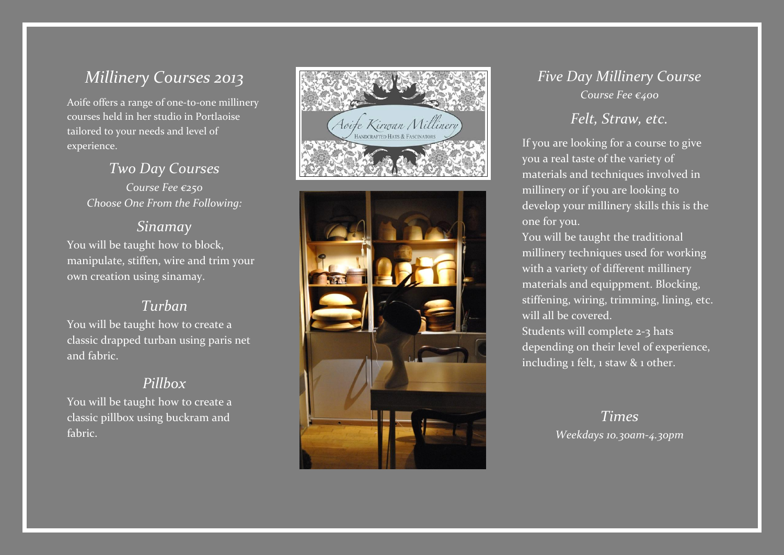# *Millinery Courses 2013*

Aoife offers a range of one -to -one millinery courses held in her studio in Portlaoise tailored to your needs and level of experience.

> *Two Day Courses Course Fee €25 0 Choose One From the Following:*

#### *Sinamay*

You will be taught how to block, manipulate, stiffen, wire and trim your own creation using sinamay.

#### *Turban*

You will be taught how to create a classic drapped turban using paris net and fabric .

#### *Pillbox*

You will be taught how to create a classic pillbox using buckram and fabric.



### *Five Day Millinery Course Course Fee €40 0*

# *Felt, Straw, etc.*

If you are looking for a course to give you a real taste of the variety of materials and techniques involved in millinery or if you are looking to develop your millinery skills this is the one for you.

You will be taught the traditional millinery techniques used for working with a variety of different millinery materials and equippment. Blocking, stiffening, wiring, trimming, lining, etc. will all be covered.

Students will complete 2 -3 hats depending on their level of experience, including 1 felt, 1 staw & 1 other.

# *Times Weekdays 10.30am -4.30pm*